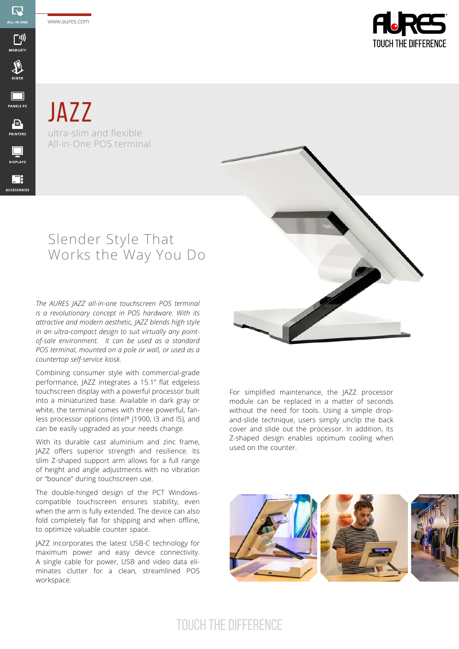www.aures.com

 $\mathbb{R}$ ALL-IN-ON

<u>(וְי</u>

**MOBILITY** 

 $\sum_{KIOSK}$ 

 $\Box$ **PANELS PC** 

 $\begin{array}{c}\n\hline\n\end{array}$  PRINTERS

 $\Box$ **DISPLAYS** 

靡 **ACCESSORIES** 



**JAZZ** ultra-slim and flexible All-in-One POS terminal

## Slender Style That Works the Way You Do

*The AURES JAZZ all-in-one touchscreen POS terminal is a revolutionary concept in POS hardware. With its attractive and modern aesthetic, JAZZ blends high style in an ultra-compact design to suit virtually any pointof-sale environment. It can be used as a standard POS terminal, mounted on a pole or wall, or used as a countertop self-service kiosk.* 

Combining consumer style with commercial-grade performance, JAZZ integrates a 15.1" flat edgeless touchscreen display with a powerful processor built into a miniaturized base. Available in dark gray or white, the terminal comes with three powerful, fanless processor options (Intel® J1900, I3 and I5), and can be easily upgraded as your needs change.

With its durable cast aluminium and zinc frame, JAZZ offers superior strength and resilience. Its slim Z-shaped support arm allows for a full range of height and angle adjustments with no vibration or "bounce" during touchscreen use.

The double-hinged design of the PCT Windowscompatible touchscreen ensures stability, even when the arm is fully extended. The device can also fold completely flat for shipping and when offline, to optimize valuable counter space.

JAZZ incorporates the latest USB-C technology for maximum power and easy device connectivity. A single cable for power, USB and video data eliminates clutter for a clean, streamlined POS workspace.



For simplified maintenance, the JAZZ processor module can be replaced in a matter of seconds without the need for tools. Using a simple dropand-slide technique, users simply unclip the back cover and slide out the processor. In addition, its Z-shaped design enables optimum cooling when used on the counter.